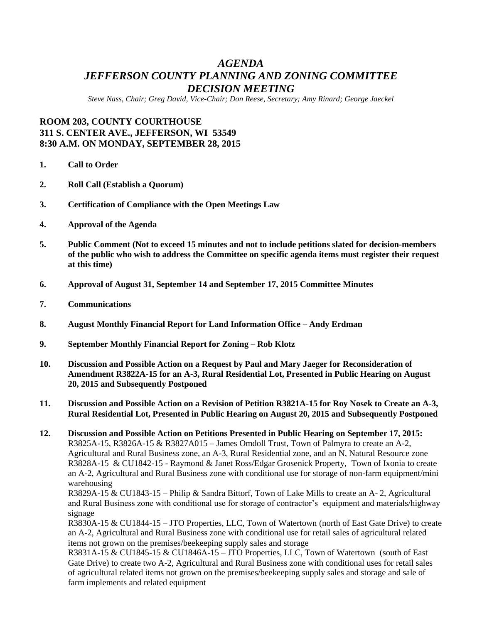# *AGENDA JEFFERSON COUNTY PLANNING AND ZONING COMMITTEE DECISION MEETING*

*Steve Nass, Chair; Greg David, Vice-Chair; Don Reese, Secretary; Amy Rinard; George Jaeckel*

# **ROOM 203, COUNTY COURTHOUSE 311 S. CENTER AVE., JEFFERSON, WI 53549 8:30 A.M. ON MONDAY, SEPTEMBER 28, 2015**

- **1. Call to Order**
- **2. Roll Call (Establish a Quorum)**
- **3. Certification of Compliance with the Open Meetings Law**
- **4. Approval of the Agenda**
- **5. Public Comment (Not to exceed 15 minutes and not to include petitions slated for decision-members of the public who wish to address the Committee on specific agenda items must register their request at this time)**
- **6. Approval of August 31, September 14 and September 17, 2015 Committee Minutes**
- **7. Communications**
- **8. August Monthly Financial Report for Land Information Office – Andy Erdman**
- **9. September Monthly Financial Report for Zoning – Rob Klotz**
- **10. Discussion and Possible Action on a Request by Paul and Mary Jaeger for Reconsideration of Amendment R3822A-15 for an A-3, Rural Residential Lot, Presented in Public Hearing on August 20, 2015 and Subsequently Postponed**
- **11. Discussion and Possible Action on a Revision of Petition R3821A-15 for Roy Nosek to Create an A-3, Rural Residential Lot, Presented in Public Hearing on August 20, 2015 and Subsequently Postponed**
- **12. Discussion and Possible Action on Petitions Presented in Public Hearing on September 17, 2015:** R3825A-15, R3826A-15 & R3827A015 – James Omdoll Trust, Town of Palmyra to create an A-2, Agricultural and Rural Business zone, an A-3, Rural Residential zone, and an N, Natural Resource zone R3828A-15 & CU1842-15 - Raymond & Janet Ross/Edgar Grosenick Property, Town of Ixonia to create an A-2, Agricultural and Rural Business zone with conditional use for storage of non-farm equipment/mini warehousing

R3829A-15 & CU1843-15 – Philip & Sandra Bittorf, Town of Lake Mills to create an A- 2, Agricultural and Rural Business zone with conditional use for storage of contractor's equipment and materials/highway signage

R3830A-15 & CU1844-15 – JTO Properties, LLC, Town of Watertown (north of East Gate Drive) to create an A-2, Agricultural and Rural Business zone with conditional use for retail sales of agricultural related items not grown on the premises/beekeeping supply sales and storage

R3831A-15 & CU1845-15 & CU1846A-15 – JTO Properties, LLC, Town of Watertown (south of East Gate Drive) to create two A-2, Agricultural and Rural Business zone with conditional uses for retail sales of agricultural related items not grown on the premises/beekeeping supply sales and storage and sale of farm implements and related equipment